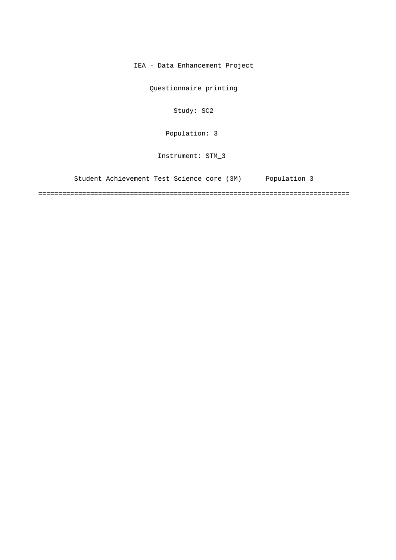IEA - Data Enhancement Project

Questionnaire printing

Study: SC2

[Population: 3](#page-2-0) 

Instrument: STM\_3

[Student Achievement Test Science core \(3M\) Population 3](#page-2-0)

==============================================================================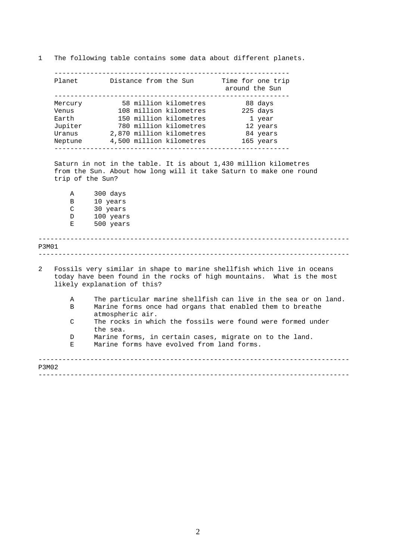1 The following table contains some data about different planets. ----------------------------------------------------------- Planet Distance from the Sun Time for one trip

|               | Mercury 58 million kilometres 88 days                                                                                                                                           |                                       |
|---------------|---------------------------------------------------------------------------------------------------------------------------------------------------------------------------------|---------------------------------------|
|               | Venus 108 million kilometres 225 days                                                                                                                                           |                                       |
| Earth         | 150 million kilometres                                                                                                                                                          | 1 year                                |
| Jupiter       | 780 million kilometres                                                                                                                                                          | 12 years                              |
| Uranus        | 2,870 million kilometres                                                                                                                                                        | 84 years                              |
| Neptune       | 4,500 million kilometres<br>____________________________<br>-------------------                                                                                                 | 165 years                             |
|               | Saturn in not in the table. It is about 1,430 million kilometres                                                                                                                |                                       |
|               | from the Sun. About how long will it take Saturn to make one round<br>trip of the Sun?                                                                                          |                                       |
| Α             | 300 days                                                                                                                                                                        |                                       |
| B             | 10 years                                                                                                                                                                        |                                       |
| C             | 30 years                                                                                                                                                                        |                                       |
| D             | 100 years                                                                                                                                                                       |                                       |
| Е             | 500 years                                                                                                                                                                       |                                       |
|               |                                                                                                                                                                                 |                                       |
|               |                                                                                                                                                                                 | _____________________________________ |
|               | Fossils very similar in shape to marine shellfish which live in oceans<br>today have been found in the rocks of high mountains. What is the most<br>likely explanation of this? |                                       |
| Α             | The particular marine shellfish can live in the sea or on land.                                                                                                                 |                                       |
| B             | Marine forms once had organs that enabled them to breathe<br>atmospheric air.                                                                                                   |                                       |
| $\mathcal{C}$ | The rocks in which the fossils were found were formed under<br>the sea.                                                                                                         |                                       |
| P3M01<br>D    | Marine forms, in certain cases, migrate on to the land.                                                                                                                         |                                       |
| Е.            | Marine forms have evolved from land forms.                                                                                                                                      |                                       |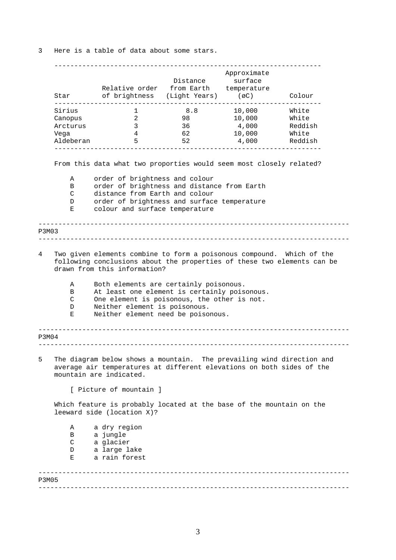<span id="page-2-0"></span>3 Here is a table of data about some stars.

|                       | Relative order from Earth temperature<br>Star of brightness (Light Years) (øC)                                                                                                                               | Distance                                                              | Approximate<br>surface | Colour  |
|-----------------------|--------------------------------------------------------------------------------------------------------------------------------------------------------------------------------------------------------------|-----------------------------------------------------------------------|------------------------|---------|
| Sirius                | $\mathbf{1}$                                                                                                                                                                                                 | 8.8                                                                   | 10,000                 | White   |
| Canopus               | 2                                                                                                                                                                                                            | 98                                                                    | 10,000                 | White   |
| Arcturus              | $\overline{3}$                                                                                                                                                                                               | 36                                                                    | 4,000                  | Reddish |
| Vega                  | 4                                                                                                                                                                                                            | 62                                                                    | 10,000                 | White   |
| Aldeberan             | 5                                                                                                                                                                                                            | 52                                                                    | 4,000                  | Reddish |
|                       | From this data what two proporties would seem most closely related?                                                                                                                                          |                                                                       |                        |         |
| Α                     | order of brightness and colour                                                                                                                                                                               |                                                                       |                        |         |
| B                     | order of brightness and distance from Earth                                                                                                                                                                  |                                                                       |                        |         |
| C                     | distance from Earth and colour                                                                                                                                                                               |                                                                       |                        |         |
| D                     | order of brightness and surface temperature                                                                                                                                                                  |                                                                       |                        |         |
| Е                     | colour and surface temperature                                                                                                                                                                               |                                                                       |                        |         |
| P3M03                 |                                                                                                                                                                                                              |                                                                       |                        |         |
|                       | following conclusions about the properties of these two elements can be<br>drawn from this information?                                                                                                      | Two given elements combine to form a poisonous compound. Which of the |                        |         |
| Α<br>B<br>C<br>D<br>Е | Both elements are certainly poisonous.<br>At least one element is certainly poisonous.<br>One element is poisonous, the other is not.<br>Neither element is poisonous.<br>Neither element need be poisonous. |                                                                       |                        |         |
| P3M04                 |                                                                                                                                                                                                              |                                                                       |                        |         |
|                       | The diagram below shows a mountain. The prevailing wind direction and<br>average air temperatures at different elevations on both sides of the<br>mountain are indicated.                                    |                                                                       |                        |         |
|                       | [ Picture of mountain ]                                                                                                                                                                                      |                                                                       |                        |         |
|                       | Which feature is probably located at the base of the mountain on the<br>leeward side (location X)?                                                                                                           |                                                                       |                        |         |
| Α                     | a dry region                                                                                                                                                                                                 |                                                                       |                        |         |
| В                     | a jungle                                                                                                                                                                                                     |                                                                       |                        |         |
| C                     | a glacier                                                                                                                                                                                                    |                                                                       |                        |         |
| D                     | a large lake                                                                                                                                                                                                 |                                                                       |                        |         |
| Е                     | a rain forest                                                                                                                                                                                                |                                                                       |                        |         |

3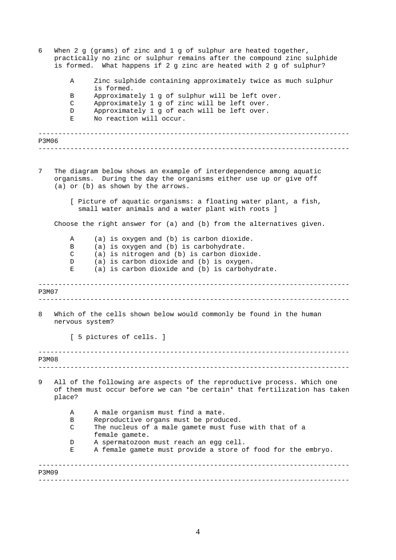| 6     |                 | When 2 g (grams) of zinc and 1 g of sulphur are heated together,<br>practically no zinc or sulphur remains after the compound zinc sulphide<br>is formed. What happens if 2 g zinc are heated with 2 g of sulphur? |
|-------|-----------------|--------------------------------------------------------------------------------------------------------------------------------------------------------------------------------------------------------------------|
|       | Α               | Zinc sulphide containing approximately twice as much sulphur<br>is formed.                                                                                                                                         |
|       | В               | Approximately 1 g of sulphur will be left over.                                                                                                                                                                    |
|       | C               | Approximately 1 g of zinc will be left over.                                                                                                                                                                       |
|       | D               | Approximately 1 g of each will be left over.                                                                                                                                                                       |
|       | Е               | No reaction will occur.                                                                                                                                                                                            |
| P3M06 |                 |                                                                                                                                                                                                                    |
|       |                 |                                                                                                                                                                                                                    |
| 7     |                 | The diagram below shows an example of interdependence among aquatic<br>organisms. During the day the organisms either use up or give off<br>(a) or (b) as shown by the arrows.                                     |
|       |                 | [ Picture of aquatic organisms: a floating water plant, a fish,<br>small water animals and a water plant with roots ]                                                                                              |
|       |                 | Choose the right answer for (a) and (b) from the alternatives given.                                                                                                                                               |
|       | Α               | (a) is oxygen and (b) is carbon dioxide.                                                                                                                                                                           |
|       | B               | (a) is oxygen and (b) is carbohydrate.                                                                                                                                                                             |
|       | C               | (a) is nitrogen and (b) is carbon dioxide.                                                                                                                                                                         |
|       | D               | (a) is carbon dioxide and (b) is oxygen.                                                                                                                                                                           |
|       | Е               | (a) is carbon dioxide and (b) is carbohydrate.                                                                                                                                                                     |
| P3M07 |                 |                                                                                                                                                                                                                    |
| 8     | nervous system? | Which of the cells shown below would commonly be found in the human                                                                                                                                                |
|       |                 | [ 5 pictures of cells. ]                                                                                                                                                                                           |
| P3M08 |                 |                                                                                                                                                                                                                    |
|       |                 |                                                                                                                                                                                                                    |
| 9     | place?          | All of the following are aspects of the reproductive process. Which one<br>of them must occur before we can *be certain* that fertilization has taken                                                              |
|       | Α               | A male organism must find a mate.                                                                                                                                                                                  |
|       | В               | Reproductive organs must be produced.                                                                                                                                                                              |
|       | C               | The nucleus of a male gamete must fuse with that of a<br>female gamete.                                                                                                                                            |
|       | D               | A spermatozoon must reach an egg cell.                                                                                                                                                                             |
|       | Е               | A female gamete must provide a store of food for the embryo.                                                                                                                                                       |
| P3M09 |                 |                                                                                                                                                                                                                    |
|       |                 |                                                                                                                                                                                                                    |

4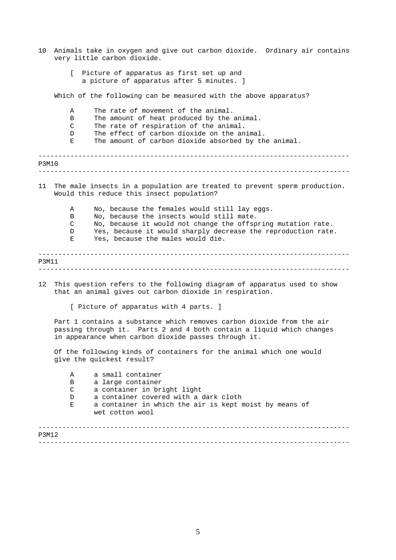| 10    | Animals take in oxygen and give out carbon dioxide. Ordinary air contains<br>very little carbon dioxide.                                                                                                                                                                                  |
|-------|-------------------------------------------------------------------------------------------------------------------------------------------------------------------------------------------------------------------------------------------------------------------------------------------|
|       | [ Picture of apparatus as first set up and<br>a picture of apparatus after 5 minutes. ]                                                                                                                                                                                                   |
|       | Which of the following can be measured with the above apparatus?                                                                                                                                                                                                                          |
|       | The rate of movement of the animal.<br>Α<br>The amount of heat produced by the animal.<br>B<br>The rate of respiration of the animal.<br>C<br>The effect of carbon dioxide on the animal.<br>D<br>The amount of carbon dioxide absorbed by the animal.<br>Е                               |
| P3M10 |                                                                                                                                                                                                                                                                                           |
| 11    | The male insects in a population are treated to prevent sperm production.<br>Would this reduce this insect population?                                                                                                                                                                    |
|       | No, because the females would still lay eggs.<br>Α<br>No, because the insects would still mate.<br>B<br>No, because it would not change the offspring mutation rate.<br>C<br>Yes, because it would sharply decrease the reproduction rate.<br>D<br>Yes, because the males would die.<br>Е |
| P3M11 |                                                                                                                                                                                                                                                                                           |
| 12    | This question refers to the following diagram of apparatus used to show<br>that an animal gives out carbon dioxide in respiration.                                                                                                                                                        |
|       | [ Picture of apparatus with 4 parts. ]                                                                                                                                                                                                                                                    |
|       | Part 1 contains a substance which removes carbon dioxide from the air<br>passing through it. Parts 2 and 4 both contain a liquid which changes<br>in appearance when carbon dioxide passes through it.                                                                                    |
|       | Of the following kinds of containers for the animal which one would<br>give the quickest result?                                                                                                                                                                                          |
|       | a small container<br>Α<br>a large container<br>B<br>a container in bright light<br>C<br>a container covered with a dark cloth<br>D<br>a container in which the air is kept moist by means of<br>Е<br>wet cotton wool                                                                      |
| P3M12 |                                                                                                                                                                                                                                                                                           |
|       |                                                                                                                                                                                                                                                                                           |

5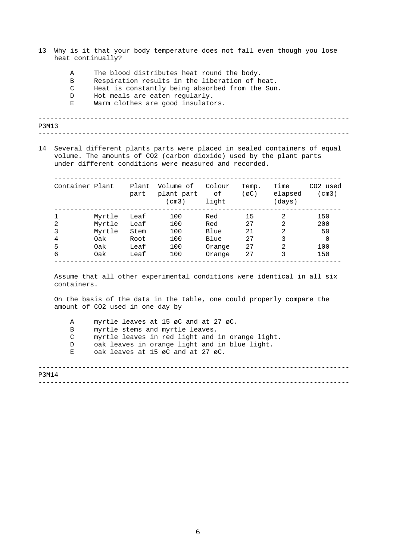- 13 Why is it that your body temperature does not fall even though you lose heat continually?
	- A The blood distributes heat round the body.
	- B Respiration results in the liberation of heat.
	- C Heat is constantly being absorbed from the Sun.
	- D Hot meals are eaten regularly.
	- E Warm clothes are good insulators.

| P3M13 |  |
|-------|--|
|       |  |

14 Several different plants parts were placed in sealed containers of equal volume. The amounts of CO2 (carbon dioxide) used by the plant parts under different conditions were measured and recorded.

| Container Plant |        | Plant<br>part | Volume of<br>plant part<br>(cm3) | Colour<br>оf<br>light | Temp.<br>(øC) | Time<br>elapsed<br>(days) | CO2 used<br>(cm3) |
|-----------------|--------|---------------|----------------------------------|-----------------------|---------------|---------------------------|-------------------|
| $\mathbf{1}$    | Myrtle | Leaf          | 100                              | Red                   | 15            | 2                         | 150               |
| 2               | Myrtle | Leaf          | 100                              | Red                   | 27            | $\mathcal{D}$             | 200               |
| 3               | Myrtle | Stem          | 100                              | Blue                  | 21            | 2                         | 50                |
| 4               | 0ak    | Root          | 100                              | Blue                  | 27            | 3                         | 0                 |
| 5               | 0ak    | Leaf          | 100                              | Orange                | 27            | 2                         | 100               |
| 6               | 0ak    | Leaf          | 100                              | Orange                | 27            |                           | 150               |

Assume that all other experimental conditions were identical in all six containers.

On the basis of the data in the table, one could properly compare the amount of CO2 used in one day by

A myrtle leaves at 15 øC and at 27 øC.

- B myrtle stems and myrtle leaves.
- C myrtle leaves in red light and in orange light.
- D oak leaves in orange light and in blue light.
- E oak leaves at 15 øC and at 27 øC.

------------------------------------------------------------------------------ ------------------------------------------------------------------------------ P3M14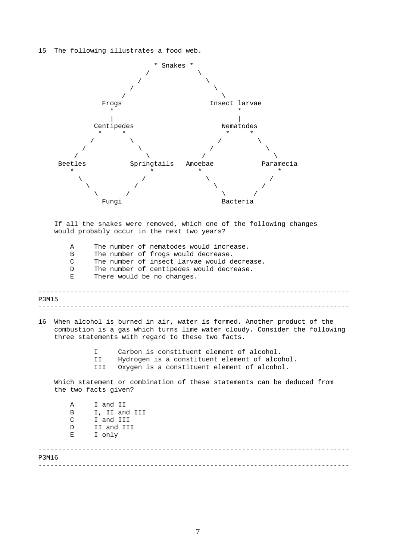## 15 The following illustrates a food web.

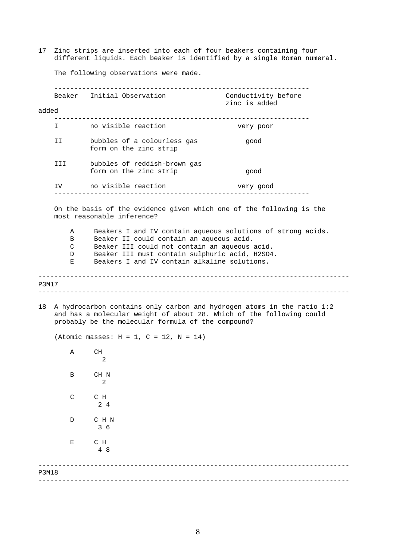17 Zinc strips are inserted into each of four beakers containing four different liquids. Each beaker is identified by a single Roman numeral.

The following observations were made.

|              |                       | Beaker Initial Observation                                                                                                                                                                                                                                                               | Conductivity before<br>zinc is added |
|--------------|-----------------------|------------------------------------------------------------------------------------------------------------------------------------------------------------------------------------------------------------------------------------------------------------------------------------------|--------------------------------------|
| added        |                       |                                                                                                                                                                                                                                                                                          |                                      |
|              |                       | I contraction no visible reaction                                                                                                                                                                                                                                                        | very poor                            |
|              | II I                  | bubbles of a colourless gas<br>form on the zinc strip                                                                                                                                                                                                                                    | good                                 |
|              | III                   | bubbles of reddish-brown gas<br>form on the zinc strip                                                                                                                                                                                                                                   | qood                                 |
|              | IV                    | no visible reaction<br>_____________________                                                                                                                                                                                                                                             | very good                            |
|              | Α<br>B<br>C<br>D<br>Ε | most reasonable inference?<br>Beakers I and IV contain aqueous solutions of strong acids.<br>Beaker II could contain an aqueous acid.<br>Beaker III could not contain an aqueous acid.<br>Beaker III must contain sulphuric acid, H2SO4.<br>Beakers I and IV contain alkaline solutions. |                                      |
| P3M17        |                       |                                                                                                                                                                                                                                                                                          |                                      |
| 18           |                       | A hydrocarbon contains only carbon and hydrogen atoms in the ratio 1:2<br>and has a molecular weight of about 28. Which of the following could<br>probably be the molecular formula of the compound?                                                                                     |                                      |
|              |                       | (Atomic masses: $H = 1$ , $C = 12$ , $N = 14$ )                                                                                                                                                                                                                                          |                                      |
|              | Α                     | CH<br>2                                                                                                                                                                                                                                                                                  |                                      |
|              | В                     | CH N<br>2                                                                                                                                                                                                                                                                                |                                      |
|              | $\mathsf{C}$          | C H<br>24                                                                                                                                                                                                                                                                                |                                      |
|              | D                     | C H N<br>36                                                                                                                                                                                                                                                                              |                                      |
|              | Е                     | C H<br>4 8                                                                                                                                                                                                                                                                               |                                      |
| <b>P3M18</b> |                       |                                                                                                                                                                                                                                                                                          |                                      |
|              |                       |                                                                                                                                                                                                                                                                                          |                                      |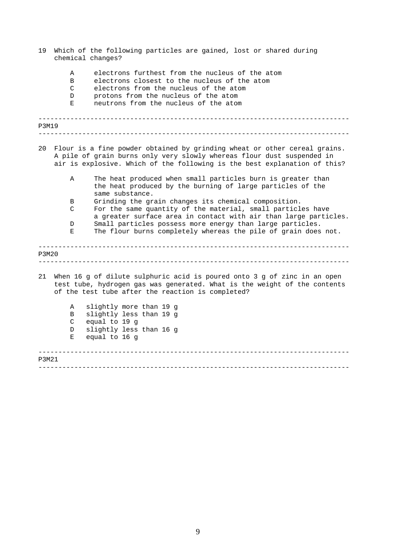| 19    | chemical changes?     | Which of the following particles are gained, lost or shared during                                                                                                                                                               |
|-------|-----------------------|----------------------------------------------------------------------------------------------------------------------------------------------------------------------------------------------------------------------------------|
|       | Α<br>B<br>C<br>D<br>Е | electrons furthest from the nucleus of the atom<br>electrons closest to the nucleus of the atom<br>electrons from the nucleus of the atom<br>protons from the nucleus of the atom<br>neutrons from the nucleus of the atom       |
| P3M19 |                       |                                                                                                                                                                                                                                  |
| 20    |                       | Flour is a fine powder obtained by grinding wheat or other cereal grains.<br>A pile of grain burns only very slowly whereas flour dust suspended in<br>air is explosive. Which of the following is the best explanation of this? |
|       | Α                     | The heat produced when small particles burn is greater than<br>the heat produced by the burning of large particles of the<br>same substance.                                                                                     |
|       | В<br>C                | Grinding the grain changes its chemical composition.                                                                                                                                                                             |
|       |                       | For the same quantity of the material, small particles have<br>a greater surface area in contact with air than large particles.                                                                                                  |
|       | D<br>Е                | Small particles possess more energy than large particles.<br>The flour burns completely whereas the pile of grain does not.                                                                                                      |
| P3M20 |                       |                                                                                                                                                                                                                                  |
| 21    |                       | When 16 g of dilute sulphuric acid is poured onto 3 g of zinc in an open<br>test tube, hydrogen gas was generated. What is the weight of the contents<br>of the test tube after the reaction is completed?                       |
|       | Α                     | slightly more than 19 g                                                                                                                                                                                                          |
|       | В<br>C                | slightly less than 19 g<br>equal to 19 g                                                                                                                                                                                         |
|       | D                     | slightly less than 16 g                                                                                                                                                                                                          |
|       | Е                     | equal to 16 g                                                                                                                                                                                                                    |
| P3M21 |                       |                                                                                                                                                                                                                                  |
|       |                       |                                                                                                                                                                                                                                  |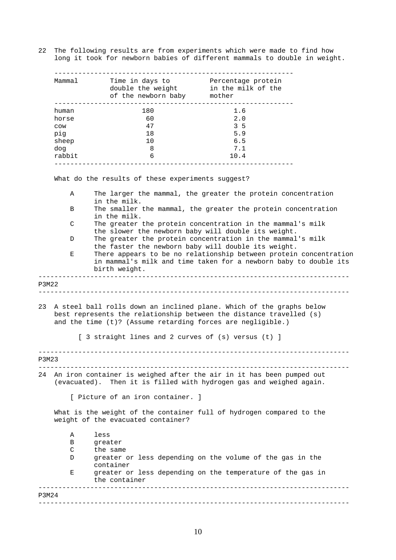22 The following results are from experiments which were made to find how long it took for newborn babies of different mammals to double in weight.

| Mammal | Time in days to<br>double the weight<br>of the newborn baby | Percentage protein<br>in the milk of the<br>mother |
|--------|-------------------------------------------------------------|----------------------------------------------------|
| human  | 180                                                         | 1.6                                                |
| horse  | 60                                                          | 2.0                                                |
| COW    | 47                                                          | 3 <sub>5</sub>                                     |
| pig    | 18                                                          | 5.9                                                |
| sheep  | 10                                                          | 6.5                                                |
| dog    | 8                                                           | 7.1                                                |
| rabbit | 6                                                           | 10.4                                               |

What do the results of these experiments suggest?

A The larger the mammal, the greater the protein concentration in the milk.

- B The smaller the mammal, the greater the protein concentration in the milk.
- C The greater the protein concentration in the mammal's milk the slower the newborn baby will double its weight.
- D The greater the protein concentration in the mammal's milk the faster the newborn baby will double its weight.
- E There appears to be no relationship between protein concentration in mammal's milk and time taken for a newborn baby to double its birth weight.

## ------------------------------------------------------------------------------ P3M22

------------------------------------------------------------------------------

23 A steel ball rolls down an inclined plane. Which of the graphs below best represents the relationship between the distance travelled (s) and the time (t)? (Assume retarding forces are negligible.)

[ 3 straight lines and 2 curves of (s) versus (t) ]

------------------------------------------------------------------------------ P3M23

------------------------------------------------------------------------------

24 An iron container is weighed after the air in it has been pumped out (evacuated). Then it is filled with hydrogen gas and weighed again.

[ Picture of an iron container. ]

What is the weight of the container full of hydrogen compared to the weight of the evacuated container?

| Α     | less                                                                        |
|-------|-----------------------------------------------------------------------------|
| В     | greater                                                                     |
| C     | the same                                                                    |
| D     | greater or less depending on the volume of the gas in the<br>container      |
| Е     | greater or less depending on the temperature of the gas in<br>the container |
| P3M24 |                                                                             |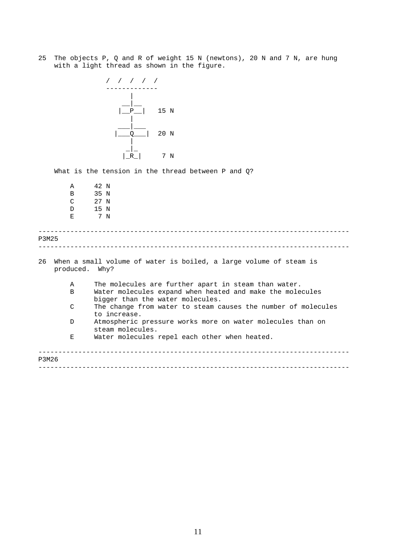25 The objects P, Q and R of weight 15 N (newtons), 20 N and 7 N, are hung with a light thread as shown in the figure.



What is the tension in the thread between P and Q?

------------------------------------------------------------------------------ ------------------------------------------------------------------------------ ------------------------------------------------------------------------------ ------------------------------------------------------------------------------ A 42 N B 35 N C 27 N D 15 N E 7 N P3M25 26 When a small volume of water is boiled, a large volume of steam is produced. Why? A The molecules are further apart in steam than water. B Water molecules expand when heated and make the molecules bigger than the water molecules. C The change from water to steam causes the number of molecules to increase. D Atmospheric pressure works more on water molecules than on steam molecules. E Water molecules repel each other when heated. P3M26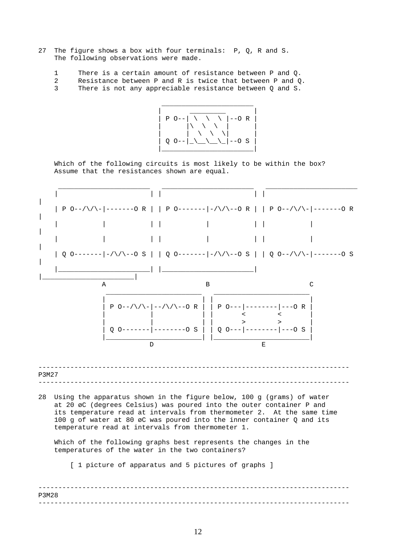- 27 The figure shows a box with four terminals: P, Q, R and S. The following observations were made.
	- 1 There is a certain amount of resistance between P and Q.
	- 2 Resistance between P and R is twice that between P and Q.
	- 3 There is not any appreciable resistance between Q and S.



Which of the following circuits is most likely to be within the box? Assume that the resistances shown are equal.